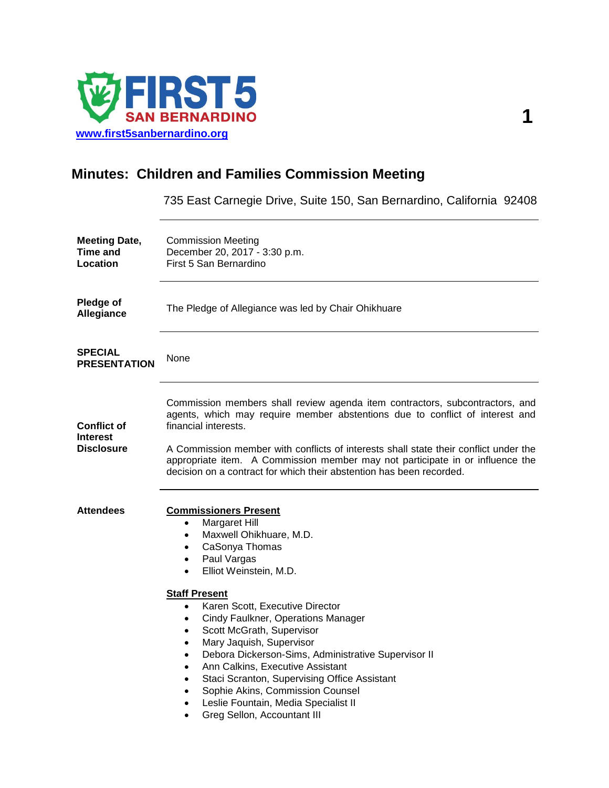

## **Minutes: Children and Families Commission Meeting**

735 East Carnegie Drive, Suite 150, San Bernardino, California 92408

| <b>Meeting Date,</b><br>Time and<br>Location        | <b>Commission Meeting</b><br>December 20, 2017 - 3:30 p.m.<br>First 5 San Bernardino                                                                                                                                                                                                                                                                                                                                                                                                                                                                                                                                                                                                      |
|-----------------------------------------------------|-------------------------------------------------------------------------------------------------------------------------------------------------------------------------------------------------------------------------------------------------------------------------------------------------------------------------------------------------------------------------------------------------------------------------------------------------------------------------------------------------------------------------------------------------------------------------------------------------------------------------------------------------------------------------------------------|
| Pledge of<br>Allegiance                             | The Pledge of Allegiance was led by Chair Ohikhuare                                                                                                                                                                                                                                                                                                                                                                                                                                                                                                                                                                                                                                       |
| <b>SPECIAL</b><br><b>PRESENTATION</b>               | None                                                                                                                                                                                                                                                                                                                                                                                                                                                                                                                                                                                                                                                                                      |
| <b>Conflict of</b><br><b>Interest</b><br>Disclosure | Commission members shall review agenda item contractors, subcontractors, and<br>agents, which may require member abstentions due to conflict of interest and<br>financial interests.<br>A Commission member with conflicts of interests shall state their conflict under the<br>appropriate item. A Commission member may not participate in or influence the<br>decision on a contract for which their abstention has been recorded.                                                                                                                                                                                                                                                     |
| <b>Attendees</b>                                    | <b>Commissioners Present</b><br><b>Margaret Hill</b><br>٠<br>Maxwell Ohikhuare, M.D.<br>$\bullet$<br>CaSonya Thomas<br>$\bullet$<br>Paul Vargas<br>$\bullet$<br>Elliot Weinstein, M.D.<br>$\bullet$<br><b>Staff Present</b><br>Karen Scott, Executive Director<br>$\bullet$<br>Cindy Faulkner, Operations Manager<br>٠<br>Scott McGrath, Supervisor<br>$\bullet$<br>Mary Jaquish, Supervisor<br>$\bullet$<br>Debora Dickerson-Sims, Administrative Supervisor II<br>$\bullet$<br>Ann Calkins, Executive Assistant<br>Staci Scranton, Supervising Office Assistant<br>Sophie Akins, Commission Counsel<br>Leslie Fountain, Media Specialist II<br>$\bullet$<br>Greg Sellon, Accountant III |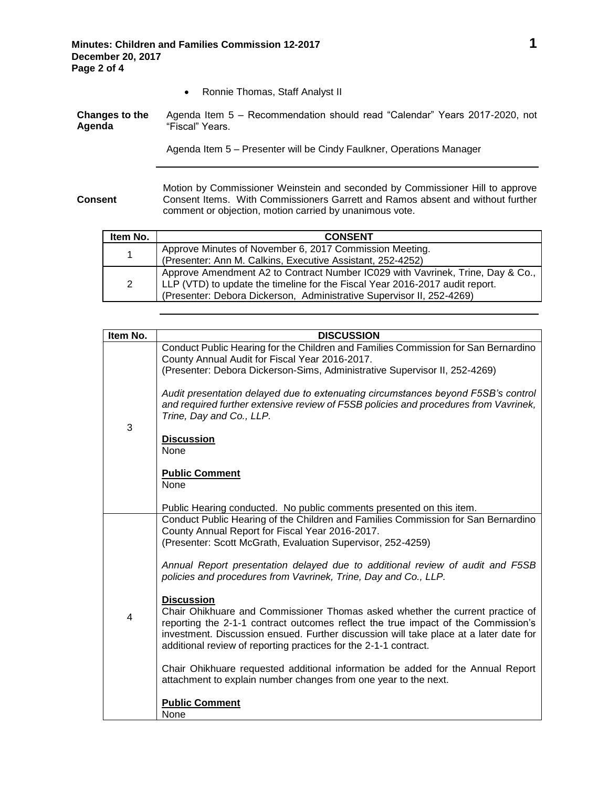• Ronnie Thomas, Staff Analyst II

| Changes to the | Agenda Item 5 - Recommendation should read "Calendar" Years 2017-2020, not |
|----------------|----------------------------------------------------------------------------|
| Agenda         | "Fiscal" Years.                                                            |

Agenda Item 5 – Presenter will be Cindy Faulkner, Operations Manager

**Consent** Motion by Commissioner Weinstein and seconded by Commissioner Hill to approve Consent Items. With Commissioners Garrett and Ramos absent and without further comment or objection, motion carried by unanimous vote.

| Item No. | <b>CONSENT</b>                                                                                                                                                                                                                          |
|----------|-----------------------------------------------------------------------------------------------------------------------------------------------------------------------------------------------------------------------------------------|
| 1        | Approve Minutes of November 6, 2017 Commission Meeting.<br>(Presenter: Ann M. Calkins, Executive Assistant, 252-4252)                                                                                                                   |
| 2        | Approve Amendment A2 to Contract Number IC029 with Vavrinek, Trine, Day & Co.,<br>LLP (VTD) to update the timeline for the Fiscal Year 2016-2017 audit report.<br>(Presenter: Debora Dickerson, Administrative Supervisor II, 252-4269) |

| Item No.       | <b>DISCUSSION</b>                                                                                                                                                                                                                                                                                                                                    |
|----------------|------------------------------------------------------------------------------------------------------------------------------------------------------------------------------------------------------------------------------------------------------------------------------------------------------------------------------------------------------|
| 3              | Conduct Public Hearing for the Children and Families Commission for San Bernardino<br>County Annual Audit for Fiscal Year 2016-2017.<br>(Presenter: Debora Dickerson-Sims, Administrative Supervisor II, 252-4269)                                                                                                                                   |
|                | Audit presentation delayed due to extenuating circumstances beyond F5SB's control<br>and required further extensive review of F5SB policies and procedures from Vavrinek,<br>Trine, Day and Co., LLP.                                                                                                                                                |
|                | <b>Discussion</b><br><b>None</b>                                                                                                                                                                                                                                                                                                                     |
|                | <b>Public Comment</b><br><b>None</b>                                                                                                                                                                                                                                                                                                                 |
|                | Public Hearing conducted. No public comments presented on this item.                                                                                                                                                                                                                                                                                 |
|                | Conduct Public Hearing of the Children and Families Commission for San Bernardino<br>County Annual Report for Fiscal Year 2016-2017.                                                                                                                                                                                                                 |
| $\overline{4}$ | (Presenter: Scott McGrath, Evaluation Supervisor, 252-4259)                                                                                                                                                                                                                                                                                          |
|                | Annual Report presentation delayed due to additional review of audit and F5SB<br>policies and procedures from Vavrinek, Trine, Day and Co., LLP.                                                                                                                                                                                                     |
|                | <b>Discussion</b><br>Chair Ohikhuare and Commissioner Thomas asked whether the current practice of<br>reporting the 2-1-1 contract outcomes reflect the true impact of the Commission's<br>investment. Discussion ensued. Further discussion will take place at a later date for<br>additional review of reporting practices for the 2-1-1 contract. |
|                | Chair Ohikhuare requested additional information be added for the Annual Report<br>attachment to explain number changes from one year to the next.                                                                                                                                                                                                   |
|                | <b>Public Comment</b><br>None                                                                                                                                                                                                                                                                                                                        |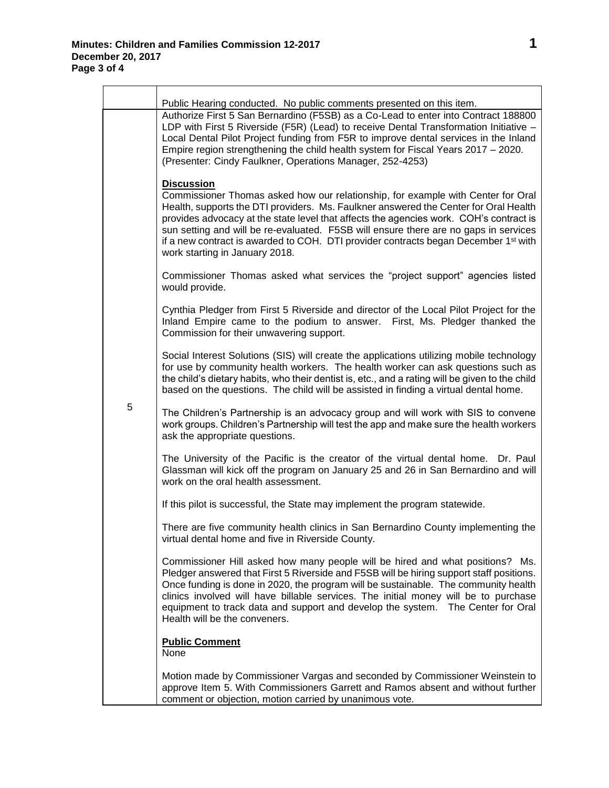|   | Public Hearing conducted. No public comments presented on this item.                                                                                                                                                                                                                                                                                                                                                                                                                                                 |
|---|----------------------------------------------------------------------------------------------------------------------------------------------------------------------------------------------------------------------------------------------------------------------------------------------------------------------------------------------------------------------------------------------------------------------------------------------------------------------------------------------------------------------|
|   | Authorize First 5 San Bernardino (F5SB) as a Co-Lead to enter into Contract 188800<br>LDP with First 5 Riverside (F5R) (Lead) to receive Dental Transformation Initiative -<br>Local Dental Pilot Project funding from F5R to improve dental services in the Inland<br>Empire region strengthening the child health system for Fiscal Years 2017 - 2020.<br>(Presenter: Cindy Faulkner, Operations Manager, 252-4253)                                                                                                |
|   | <b>Discussion</b><br>Commissioner Thomas asked how our relationship, for example with Center for Oral<br>Health, supports the DTI providers. Ms. Faulkner answered the Center for Oral Health<br>provides advocacy at the state level that affects the agencies work. COH's contract is<br>sun setting and will be re-evaluated. F5SB will ensure there are no gaps in services<br>if a new contract is awarded to COH. DTI provider contracts began December 1 <sup>st</sup> with<br>work starting in January 2018. |
|   | Commissioner Thomas asked what services the "project support" agencies listed<br>would provide.                                                                                                                                                                                                                                                                                                                                                                                                                      |
|   | Cynthia Pledger from First 5 Riverside and director of the Local Pilot Project for the<br>Inland Empire came to the podium to answer. First, Ms. Pledger thanked the<br>Commission for their unwavering support.                                                                                                                                                                                                                                                                                                     |
|   | Social Interest Solutions (SIS) will create the applications utilizing mobile technology<br>for use by community health workers. The health worker can ask questions such as<br>the child's dietary habits, who their dentist is, etc., and a rating will be given to the child<br>based on the questions. The child will be assisted in finding a virtual dental home.                                                                                                                                              |
| 5 | The Children's Partnership is an advocacy group and will work with SIS to convene<br>work groups. Children's Partnership will test the app and make sure the health workers<br>ask the appropriate questions.                                                                                                                                                                                                                                                                                                        |
|   | The University of the Pacific is the creator of the virtual dental home. Dr. Paul<br>Glassman will kick off the program on January 25 and 26 in San Bernardino and will<br>work on the oral health assessment.                                                                                                                                                                                                                                                                                                       |
|   | If this pilot is successful, the State may implement the program statewide.                                                                                                                                                                                                                                                                                                                                                                                                                                          |
|   | There are five community health clinics in San Bernardino County implementing the<br>virtual dental home and five in Riverside County.                                                                                                                                                                                                                                                                                                                                                                               |
|   | Commissioner Hill asked how many people will be hired and what positions? Ms.<br>Pledger answered that First 5 Riverside and F5SB will be hiring support staff positions.<br>Once funding is done in 2020, the program will be sustainable. The community health<br>clinics involved will have billable services. The initial money will be to purchase<br>equipment to track data and support and develop the system. The Center for Oral<br>Health will be the conveners.                                          |
|   | <b>Public Comment</b><br>None                                                                                                                                                                                                                                                                                                                                                                                                                                                                                        |
|   | Motion made by Commissioner Vargas and seconded by Commissioner Weinstein to<br>approve Item 5. With Commissioners Garrett and Ramos absent and without further<br>comment or objection, motion carried by unanimous vote.                                                                                                                                                                                                                                                                                           |